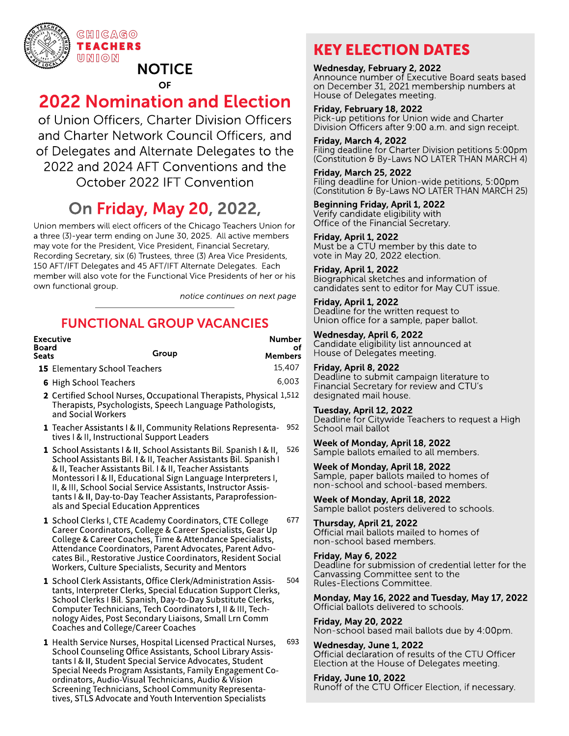

### **OF** 2022 Nomination and Election

of Union Officers, Charter Division Officers and Charter Network Council Officers, and of Delegates and Alternate Delegates to the 2022 and 2024 AFT Conventions and the October 2022 IFT Convention

# On Friday, May 20, 2022,

Union members will elect officers of the Chicago Teachers Union for a three (3)- year term ending on June 30, 2025. All active members may vote for the President, Vice President, Financial Secretary, Recording Secretary, six (6) Trustees, three (3) Area Vice Presidents, 150 AFT/IFT Delegates and 45 AFT/IFT Alternate Delegates. Each member will also vote for the Functional Vice Presidents of her or his own functional group.

**notice continues on next page**

### FUNCTIONAL GROUP VACANCIES

| <b>Executive</b><br><b>Board</b><br><b>Seats</b> | Group                                                                                                                                                                                                                                                                                                                                                                                                                                         |        | <b>Number</b><br>оf<br><b>Members</b> |
|--------------------------------------------------|-----------------------------------------------------------------------------------------------------------------------------------------------------------------------------------------------------------------------------------------------------------------------------------------------------------------------------------------------------------------------------------------------------------------------------------------------|--------|---------------------------------------|
| <b>15</b> Elementary School Teachers             |                                                                                                                                                                                                                                                                                                                                                                                                                                               | 15,407 |                                       |
|                                                  | 6 High School Teachers                                                                                                                                                                                                                                                                                                                                                                                                                        |        | 6.003                                 |
|                                                  | 2 Certified School Nurses, Occupational Therapists, Physical 1,512<br>Therapists, Psychologists, Speech Language Pathologists,<br>and Social Workers                                                                                                                                                                                                                                                                                          |        |                                       |
|                                                  | <b>1</b> Teacher Assistants I & II, Community Relations Representa-<br>tives   & II, Instructional Support Leaders                                                                                                                                                                                                                                                                                                                            |        | 952                                   |
|                                                  | 1 School Assistants   & II, School Assistants Bil. Spanish   & II,<br>School Assistants Bil. I & II, Teacher Assistants Bil. Spanish I<br>& II, Teacher Assistants Bil. I & II, Teacher Assistants<br>Montessori   & II, Educational Sign Language Interpreters I,<br>II, & III, School Social Service Assistants, Instructor Assis-<br>tants I & II, Day-to-Day Teacher Assistants, Paraprofession-<br>als and Special Education Apprentices |        | 526                                   |
|                                                  | 1 School Clerks I, CTE Academy Coordinators, CTE College<br>Career Coordinators, College & Career Specialists, Gear Up<br>College & Career Coaches, Time & Attendance Specialists,<br>Attendance Coordinators, Parent Advocates, Parent Advo-<br>cates Bil., Restorative Justice Coordinators, Resident Social<br>Workers, Culture Specialists, Security and Mentors                                                                          |        | 677                                   |
|                                                  | 1 School Clerk Assistants, Office Clerk/Administration Assis-<br>tants, Interpreter Clerks, Special Education Support Clerks,<br>School Clerks I Bil. Spanish, Day-to-Day Substitute Clerks,<br>Computer Technicians, Tech Coordinators I, II & III, Tech-<br>nology Aides, Post Secondary Liaisons, Small Lrn Comm<br>Coaches and College/Career Coaches                                                                                     |        | 504                                   |
|                                                  | 1 Health Service Nurses, Hospital Licensed Practical Nurses,<br>School Counseling Office Assistants, School Library Assis-<br>tants   & II, Student Special Service Advocates, Student<br>Special Needs Program Assistants, Family Engagement Co-                                                                                                                                                                                             |        | 693                                   |

ordinators, Audio-Visual Technicians, Audio & Vision Screening Technicians, School Community Representatives, STLS Advocate and Youth Intervention Specialists

## KEY ELECTION DATES

Wednesday, February 2, 2022 Announce number of Executive Board seats based on December 31, 2021 membership numbers at House of Delegates meeting.

Friday, February 18, 2022 Pick-up petitions for Union wide and Charter Division Officersafter 9:00 a.m. and sign receipt.

Friday, March 4, 2022 Filing deadline for Charter Division petitions 5:00pm (Constitution & By-Laws NO LATER THAN MARCH 4)

Friday, March 25, 2022 Filing deadline for Union- wide petitions, 5:00pm (Constitution & By-Laws NO LATER THAN MARCH 25)

Beginning Friday, April 1, 2022 Verify candidate eligibility with Office of the Financial Secretary.

Friday, April 1, 2022 Must be a CTU member by this date to vote in May 20, 2022 election.

Friday, April 1, 2022 Biographical sketches and information of candidates sent to editor for May CUT issue.

Friday, April 1, 2022 Deadline for the written request to Union office for a sample, paper ballot.

Wednesday, April 6, 2022 Candidate eligibility list announced at House of Delegates meeting.

Friday, April 8, 2022 Deadline to submit campaign literature to Financial Secretary for review and CTU?s designated mail house.

Tuesday, April 12, 2022 Deadline for Citywide Teachers to request a High School mail ballot

Week of Monday, April 18, 2022 Sample ballots emailed to all members.

Week of Monday, April 18, 2022 Sample, paper ballots mailed to homes of non- school and school-based members.

Week of Monday, April 18, 2022 Sample ballot posters delivered to schools.

Thursday, April 21, 2022 Official mail ballots mailed to homes of non- school based members.

Friday, May 6, 2022 Deadline for submission of credential letter for the Canvassing Committee sent to the Rules-Elections Committee.

Monday, May 16, 2022 and Tuesday, May 17, 2022 Official ballots delivered to schools.

Friday, May 20, 2022 Non- school based mail ballots due by 4:00pm.

Wednesday, June 1, 2022 Official declaration of results of the CTU Officer Election at the House of Delegates meeting.

Friday, June 10, 2022 Runoff of the CTU Officer Election, if necessary.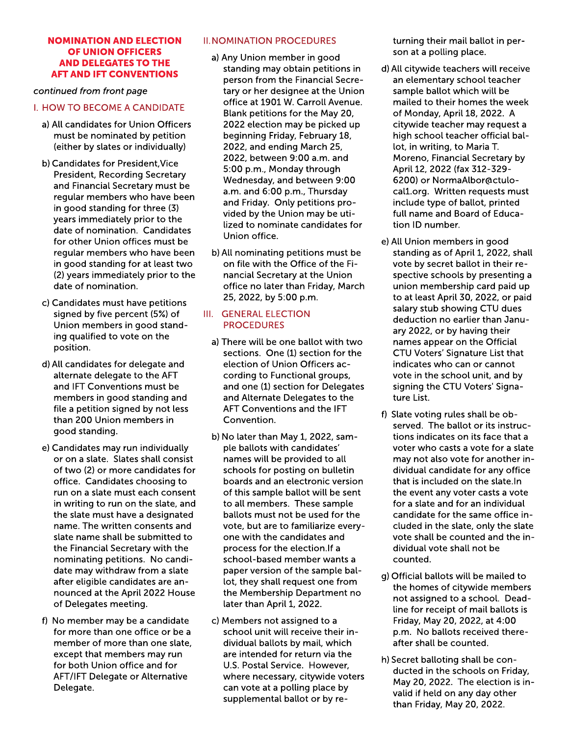#### NOMINATION AND ELECTION OF UNION OFFICERS **AND DELEGATES TO THE** AFT AND IFT CONVENTIONS

**continued from front page**

#### I. HOW TO BECOME A CANDIDATE

- a) All candidates for Union Officers must be nominated by petition (either by slates or individually)
- b) Candidates for President,Vice President, Recording Secretary and Financial Secretary must be regular members who have been in good standing for three (3) years immediately prior to the date of nomination. Candidates for other Union offices must be regular members who have been in good standing for at least two (2) years immediately prior to the date of nomination.
- c) Candidates must have petitions signed by five percent (5%) of Union members in good standing qualified to vote on the position.
- d)All candidates for delegate and alternate delegate to the AFT and IFT Conventions must be members in good standing and file a petition signed by not less than 200 Union members in good standing.
- e) Candidates may run individually or on a slate. Slates shall consist of two (2) or more candidates for office. Candidates choosing to run on a slate must each consent in writing to run on the slate, and the slate must have a designated name. The written consents and slate name shall be submitted to the Financial Secretary with the nominating petitions. No candidate may withdraw from a slate after eligible candidates are announced at the April 2022 House of Delegates meeting.
- f) No member may be a candidate for more than one office or be a member of more than one slate, except that members may run for both Union office and for AFT/IFT Delegate or Alternative Delegate.

#### II.NOMINATION PROCEDURES

- a) Any Union member in good standing may obtain petitions in person from the Financial Secretary or her designee at the Union office at 1901 W. Carroll Avenue. Blank petitions for the May 20, 2022 election may be picked up beginning Friday, February 18, 2022, and ending March 25, 2022, between 9:00 a.m. and 5:00 p.m., Monday through Wednesday, and between 9:00 a.m. and 6:00 p.m., Thursday and Friday. Only petitions provided by the Union may be utilized to nominate candidates for Union office.
- b)All nominating petitions must be on file with the Office of the Financial Secretary at the Union office no later than Friday, March 25, 2022, by 5:00 p.m.

#### III. GENERAL ELECTION **PROCEDURES**

- a) There will be one ballot with two sections. One (1) section for the election of Union Officers according to Functional groups, and one (1) section for Delegates and Alternate Delegates to the AFT Conventionsand the IFT Convention.
- b) No later than May 1, 2022, sample ballots with candidates' names will be provided to all schools for posting on bulletin boards and an electronic version of this sample ballot will be sent to all members. These sample ballots must not be used for the vote, but are to familiarize everyone with the candidates and process for the election.If a school-based member wants a paper version of the sample ballot, they shall request one from the Membership Department no later than April 1, 2022.
- c) Members not assigned to a school unit will receive their individual ballots by mail, which are intended for return via the U.S. Postal Service. However, where necessary, citywide voters can vote at a polling place by supplemental ballot or by re-

turning their mail ballot in person at a polling place.

- d)All citywide teachers will receive an elementary school teacher sample ballot which will be mailed to their homes the week of Monday, April 18, 2022. A citywide teacher may request a high school teacher official ballot, in writing, to Maria T. Moreno, Financial Secretary by April 12, 2022 (fax 312-329- 6200) or NormaAlbor@ctulocal1.org. Written requests must include type of ballot, printed full name and Board of Education ID number.
- e) All Union members in good standing as of April 1, 2022, shall vote by secret ballot in their respective schools by presenting a union membership card paid up to at least April 30, 2022, or paid salary stub showing CTU dues deduction no earlier than January 2022, or by having their names appear on the Official CTU Voters' Signature List that indicates who can or cannot vote in the school unit, and by signing the CTU Voters' Signature List.
- f) Slate voting rules shall be observed. The ballot or its instructions indicates on its face that a voter who casts a vote for a slate may not also vote for another individual candidate for any office that is included on the slate.In the event any voter casts a vote for a slate and for an individual candidate for the same office included in the slate, only the slate vote shall be counted and the individual vote shall not be counted.
- g)Official ballots will be mailed to the homes of citywide members not assigned to a school. Deadline for receipt of mail ballots is Friday, May 20, 2022, at 4:00 p.m. No ballots received thereafter shall be counted.
- h) Secret balloting shall be conducted in the schools on Friday, May 20, 2022. The election is invalid if held on any day other than Friday, May 20, 2022.